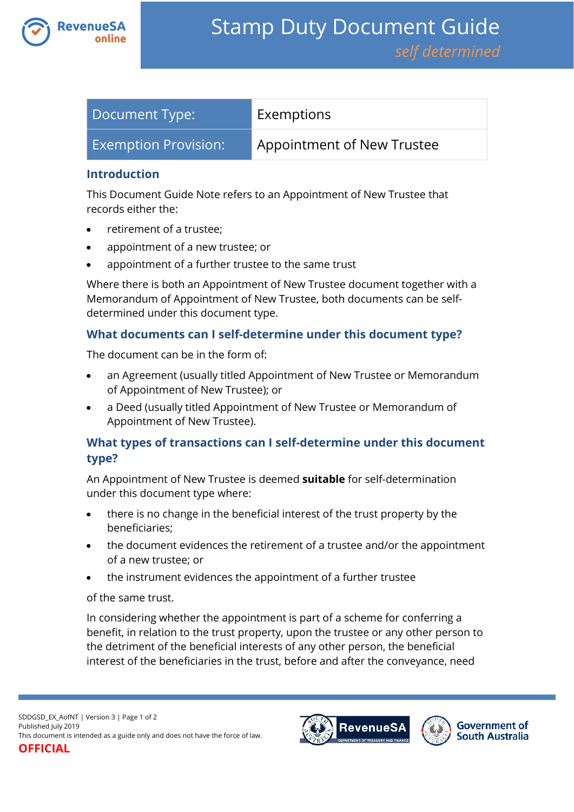

| Document Type:              | Exemptions                 |
|-----------------------------|----------------------------|
| <b>Exemption Provision:</b> | Appointment of New Trustee |

#### **Introduction**

This Document Guide Note refers to an Appointment of New Trustee that records either the:

- retirement of a trustee;
- appointment of a new trustee; or
- appointment of a further trustee to the same trust

Where there is both an Appointment of New Trustee document together with a Memorandum of Appointment of New Trustee, both documents can be selfdetermined under this document type.

# **What documents can I self-determine under this document type?**

The document can be in the form of:

- an Agreement (usually titled Appointment of New Trustee or Memorandum of Appointment of New Trustee); or
- a Deed (usually titled Appointment of New Trustee or Memorandum of Appointment of New Trustee).

# **What types of transactions can I self-determine under this document type?**

An Appointment of New Trustee is deemed **suitable** for self-determination under this document type where:

- there is no change in the beneficial interest of the trust property by the beneficiaries;
- the document evidences the retirement of a trustee and/or the appointment of a new trustee; or
- the instrument evidences the appointment of a further trustee

#### of the same trust.

In considering whether the appointment is part of a scheme for conferring a benefit, in relation to the trust property, upon the trustee or any other person to the detriment of the beneficial interests of any other person, the beneficial interest of the beneficiaries in the trust, before and after the conveyance, need